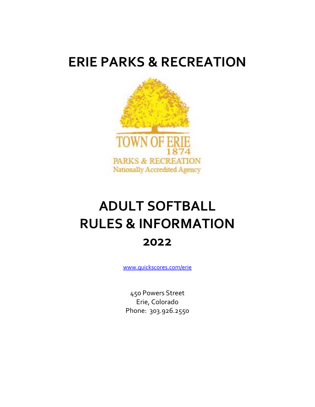## **ERIE PARKS & RECREATION**



# **ADULT SOFTBALL RULES & INFORMATION 2022**

[www.quickscores.com/erie](http://www.quickscores.com/erie)

450 Powers Street Erie, Colorado Phone: 303.926.2550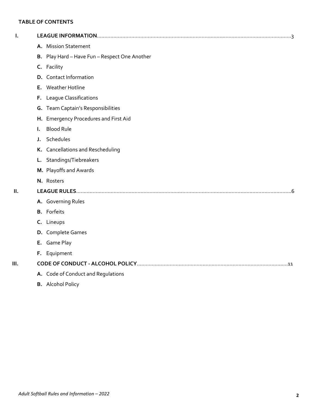## **TABLE OF CONTENTS**

| I.   |                                               |  |  |  |
|------|-----------------------------------------------|--|--|--|
|      | A. Mission Statement                          |  |  |  |
|      | B. Play Hard - Have Fun - Respect One Another |  |  |  |
|      | C. Facility                                   |  |  |  |
|      | D. Contact Information                        |  |  |  |
|      | E. Weather Hotline                            |  |  |  |
|      | F. League Classifications                     |  |  |  |
|      | G. Team Captain's Responsibilities            |  |  |  |
|      | H. Emergency Procedures and First Aid         |  |  |  |
|      | <b>Blood Rule</b><br>L.                       |  |  |  |
|      | J. Schedules                                  |  |  |  |
|      | K. Cancellations and Rescheduling             |  |  |  |
|      | L. Standings/Tiebreakers                      |  |  |  |
|      | M. Playoffs and Awards                        |  |  |  |
|      | N. Rosters                                    |  |  |  |
| H.   |                                               |  |  |  |
|      | A. Governing Rules                            |  |  |  |
|      | <b>B.</b> Forfeits                            |  |  |  |
|      | C. Lineups                                    |  |  |  |
|      | D. Complete Games                             |  |  |  |
|      | E. Game Play                                  |  |  |  |
|      | F. Equipment                                  |  |  |  |
| III. |                                               |  |  |  |
|      | A. Code of Conduct and Regulations            |  |  |  |
|      | <b>B.</b> Alcohol Policy                      |  |  |  |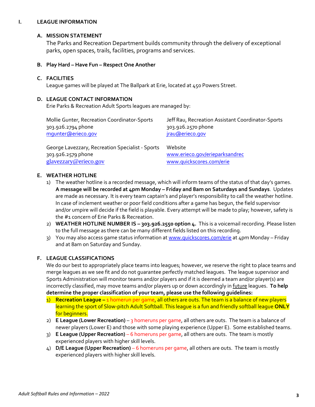#### **I. LEAGUE INFORMATION**

#### **A. MISSION STATEMENT**

The Parks and Recreation Department builds community through the delivery of exceptional parks, open spaces, trails, facilities, programs and services.

#### **B. Play Hard – Have Fun – Respect One Another**

#### **C. FACILITIES**

League games will be played at The Ballpark at Erie, located at 450 Powers Street.

#### **D. LEAGUE CONTACT INFORMATION**

Erie Parks & Recreation Adult Sports leagues are managed by:

| Mollie Gunter, Recreation Coordinator-Sports     | Jeff Rau, Recreation Assistant Coordinator-Sports |
|--------------------------------------------------|---------------------------------------------------|
| 303.926.2794 phone                               | 303.926.2570 phone                                |
| mqunter@erieco.gov                               | jrau@erieco.gov                                   |
| George Lavezzary, Recreation Specialist - Sports | Website                                           |
| 303.926.2579 phone                               | www.erieco.gov/erieparksandrec                    |
| glavezzary@erieco.gov                            | www.quickscores.com/erie                          |

#### **E. WEATHER HOTLINE**

- 1) The weather hotline is a recorded message, which will inform teams of the status of that day's games. **A message will be recorded at 4pm Monday – Friday and 8am on Saturdays and Sundays**. Updates are made as necessary. It is every team captain's and player's responsibility to call the weather hotline. In case of inclement weather or poor field conditions after a game has begun, the field supervisor and/or umpire will decide if the field is playable. Every attempt will be made to play; however, safety is the #1 concern of Erie Parks & Recreation.
- 2) **WEATHER HOTLINE NUMBER IS – 303.926.2550 option 4.** This is a voicemail recording. Please listen to the full message as there can be many different fields listed on this recording.
- 3) You may also access game status information a[t www.quickscores.com/erie](file:///C:/Documents%20and%20Settings/jpryor/Local%20Settings/Temporary%20Internet%20Files/Content.Outlook/AppData/Local/Temp/Temp1_Attachments_2012_01_14%20(1).zip/www.quickscores.com/erie) at 4pm Monday Friday and at 8am on Saturday and Sunday.

#### **F. LEAGUE CLASSIFICATIONS**

We do our best to appropriately place teams into leagues; however, we reserve the right to place teams and merge leagues as we see fit and do not guarantee perfectly matched leagues. The league supervisor and Sports Administration will monitor teams and/or players and if it is deemed a team and/or player(s) are incorrectly classified, may move teams and/or players up or down accordingly in future leagues. **To help determine the proper classification of your team, please use the following guidelines:** 

- 1) **Recreation League –** 1 homerun per game, all others are outs. The team is a balance of new players learning the sport of Slow-pitch Adult Softball. This league is a fun and friendly softball league **ONLY**  for beginners.
- 2) **E League (Lower Recreation)**  3 homeruns per game, all others are outs. The team is a balance of newer players (Lower E) and those with some playing experience (Upper E). Some established teams.
- 3) **E League (Upper Recreation)** 6 homeruns per game, all others are outs. The team is mostly experienced players with higher skill levels.
- 4) **D/E League (Upper Recreation)** 6 homeruns per game, all others are outs. The team is mostly experienced players with higher skill levels.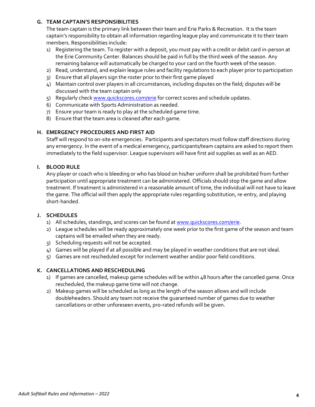#### **G. TEAM CAPTAIN'S RESPONSIBILITIES**

The team captain is the primary link between their team and Erie Parks & Recreation. It is the team captain's responsibility to obtain all information regarding league play and communicate it to their team members. Responsibilities include:

- 1) Registering the team. To register with a deposit, you must pay with a credit or debit card in-person at the Erie Community Center. Balances should be paid in full by the third week of the season. Any remaining balance will automatically be charged to your card on the fourth week of the season.
- 2) Read, understand, and explain league rules and facility regulations to each player prior to participation
- 3) Ensure that all players sign the roster prior to their first game played
- 4) Maintain control over players in all circumstances, including disputes on the field; disputes will be discussed with the team captain only
- 5) Reqularly chec[k www.quickscores.com/erie](file:///C:/Documents%20and%20Settings/jpryor/Local%20Settings/Documents%20and%20Settings/arankey/Local%20Settings/Temporary%20Internet%20Files/Content.Outlook/3LLZAO5T/www.quickscores.com/erie) for correct scores and schedule updates.
- 6) Communicate with Sports Administration as needed.
- 7) Ensure your team is ready to play at the scheduled game time.
- 8) Ensure that the team area is cleaned after each game.

#### **H. EMERGENCY PROCEDURES AND FIRST AID**

Staff will respond to on-site emergencies. Participants and spectators must follow staff directions during any emergency. In the event of a medical emergency, participants/team captains are asked to report them immediately to the field supervisor. League supervisors will have first aid supplies as well as an AED.

#### **I. BLOOD RULE**

Any player or coach who is bleeding or who has blood on his/her uniform shall be prohibited from further participation until appropriate treatment can be administered. Officials should stop the game and allow treatment. If treatment is administered in a reasonable amount of time, the individual will not have to leave the game. The official will then apply the appropriate rules regarding substitution, re-entry, and playing short-handed.

#### **J. SCHEDULES**

- 1) All schedules, standings, and scores can be found a[t www.quickscores.com/erie.](file:///C:/Documents%20and%20Settings/jpryor/Local%20Settings/Temporary%20Internet%20Files/Content.Outlook/AppData/Local/Temp/Local%20Settings/Temporary%20Internet%20Files/Content.Outlook/9DUEN34N/www.quickscores.com/erie)
- 2) League schedules will be ready approximately one week prior to the first game of the season and team captains will be emailed when they are ready.
- 3) Scheduling requests will not be accepted.
- 4) Games will be played if at all possible and may be played in weather conditions that are not ideal.
- 5) Games are not rescheduled except for inclement weather and/or poor field conditions.

#### **K. CANCELLATIONS AND RESCHEDULING**

- 1) If games are cancelled, makeup game schedules will be within 48 hours after the cancelled game. Once rescheduled, the makeup game time will not change.
- 2) Makeup games will be scheduled as long as the length of the season allows and will include doubleheaders. Should any team not receive the guaranteed number of games due to weather cancellations or other unforeseen events, pro-rated refunds will be given.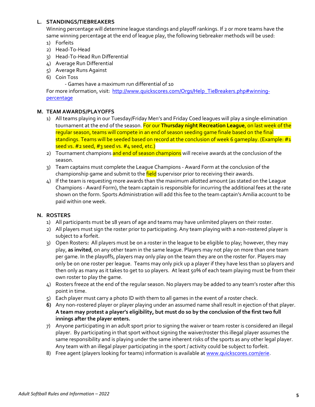#### **L. STANDINGS/TIEBREAKERS**

Winning percentage will determine league standings and playoff rankings. If 2 or more teams have the same winning percentage at the end of league play, the following tiebreaker methods will be used:

- 1) Forfeits
- 2) Head-To-Head
- 3) Head-To-Head Run Differential
- 4) Average Run Differential
- 5) Average Runs Against
- 6) Coin Toss

- Games have a maximum run differential of 10

For more information, visit: [http://www.quickscores.com/Orgs/Help\\_TieBreakers.php#winning](http://www.quickscores.com/Orgs/Help_TieBreakers.php#winning-percentage)[percentage](http://www.quickscores.com/Orgs/Help_TieBreakers.php#winning-percentage)

#### **M. TEAM AWARDS/PLAYOFFS**

- 1) All teams playing in our Tuesday/Friday Men's and Friday Coed leagues will play a single-elimination tournament at the end of the season. For our **Thursday night Recreation League**, on last week of the regular season, teams will compete in an end of season seeding game finale based on the final standings. Teams will be seeded based on record at the conclusion of week 6 gameplay. (Example:  $\#_1$ seed vs. #2 seed, #3 seed vs. #4 seed, etc.)
- 2) Tournament champions and end of season champions will receive awards at the conclusion of the season.
- 3) Team captains must complete the League Champions Award Form at the conclusion of the championship game and submit to the field supervisor prior to receiving their awards.
- 4) If the team is requesting more awards than the maximum allotted amount (as stated on the League Champions - Award Form), the team captain is responsible for incurring the additional fees at the rate shown on the form. Sports Administration will add this fee to the team captain's Amilia account to be paid within one week.

#### **N. ROSTERS**

- 1) All participants must be 18 years of age and teams may have unlimited players on their roster.
- 2) All players must sign the roster prior to participating. Any team playing with a non-rostered player is subject to a forfeit.
- 3) Open Rosters**:** All players must be on a roster in the league to be eligible to play; however, they may play, **as invited**, on any other team in the same league. Players may not play on more than one team per game. In the playoffs, players may only play on the team they are on the roster for. Players may only be on one roster per league. Teams may only pick up a player if they have less than 10 players and then only as many as it takes to get to 10 players. At least 50% of each team playing must be from their own roster to play the game.
- 4) Rosters freeze at the end of the regular season. No players may be added to any team's roster after this point in time.
- 5) Each player must carry a photo ID with them to all games in the event of a roster check.
- **6)** Any non-rostered player or player playing under an assumed name shall result in ejection of that player. **A team may protest a player's eligibility, but must do so by the conclusion of the first two full innings after the player enters.**
- 7) Anyone participating in an adult sport prior to signing the waiver or team roster is considered an illegal player. By participating in that sport without signing the waiver/roster this illegal player assumes the same responsibility and is playing under the same inherent risks of the sports as any other legal player. Any team with an illegal player participating in the sport / activity could be subject to forfeit.
- 8) Free agent (players looking for teams) information is available a[t www.quickscores.com/erie.](file://///ecc2/recreation/PROGRAMS%201/Sports/Sports%20-%20Adult/Adult%20Volleyball/2011/Information%20Packets/www.quickscores.com/erie)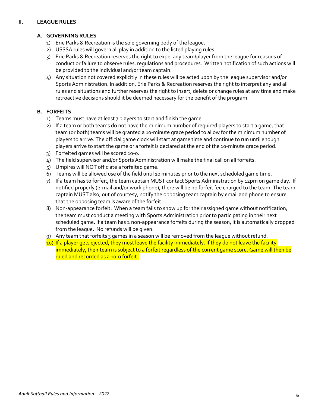#### **II. LEAGUE RULES**

### **A. GOVERNING RULES**

- 1) Erie Parks & Recreation is the sole governing body of the league.
- 2) USSSA rules will govern all play in addition to the listed playing rules.
- 3) Erie Parks & Recreation reserves the right to expel any team/player from the league for reasons of conduct or failure to observe rules, regulations and procedures. Written notification of such actions will be provided to the individual and/or team captain.
- 4) Any situation not covered explicitly in these rules will be acted upon by the league supervisor and/or Sports Administration. In addition, Erie Parks & Recreation reserves the right to interpret any and all rules and situations and further reserves the right to insert, delete or change rules at any time and make retroactive decisions should it be deemed necessary for the benefit of the program.

## **B. FORFEITS**

- 1) Teams must have at least 7 players to start and finish the game.
- 2) If a team or both teams do not have the minimum number of required players to start a game, that team (or both) teams will be granted a 10-minute grace period to allow for the minimum number of players to arrive. The official game clock will start at game time and continue to run until enough players arrive to start the game or a forfeit is declared at the end of the 10-minute grace period.
- 3) Forfeited games will be scored 10-0.
- 4) The field supervisor and/or Sports Administration will make the final call on all forfeits.
- 5) Umpires will NOT officiate a forfeited game.
- 6) Teams will be allowed use of the field until 10 minutes prior to the next scheduled game time.
- 7) If a team has to forfeit, the team captain MUST contact Sports Administration by 12pm on game day. If notified properly (e-mail and/or work phone), there will be no forfeit fee charged to the team. The team captain MUST also, out of courtesy, notify the opposing team captain by email and phone to ensure that the opposing team is aware of the forfeit.
- 8) Non-appearance forfeit: When a team fails to show up for their assigned game without notification, the team must conduct a meeting with Sports Administration prior to participating in their next scheduled game. If a team has 2 non-appearance forfeits during the season, it is automatically dropped from the league. No refunds will be given.
- 9) Any team that forfeits 3 games in a season will be removed from the league without refund.
- 10) If a player gets ejected, they must leave the facility immediately. If they do not leave the facility immediately, their team is subject to a forfeit regardless of the current game score. Game will then be ruled and recorded as a 10-0 forfeit.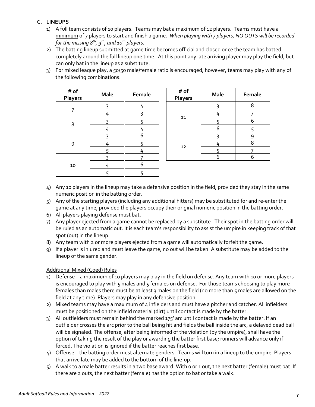## **C. LINEUPS**

- 1) A full team consists of 10 players. Teams may bat a maximum of 12 players. Teams must have a minimum of 7 players to start and finish a game. *When playing with 7 players, NO OUTS will be recorded for the missing 8th, 9th, and 10th players.*
- 2) The batting lineup submitted at game time becomes official and closed once the team has batted completely around the full lineup one time. At this point any late arriving player may play the field, but can only bat in the lineup as a substitute.
- 3) For mixed league play, a 50/50 male/female ratio is encouraged; however, teams may play with any of the following combinations:

| # of<br><b>Players</b> | <b>Male</b> | Female | # of<br>Player |
|------------------------|-------------|--------|----------------|
|                        | 3           | 4      |                |
|                        | 4           | 3      |                |
| 8                      | ς           | 5      | 11             |
|                        | 4           | 4      |                |
|                        | 3           | 6      |                |
| 9                      | 4           | 5      | 12             |
|                        | 5           | 4      |                |
|                        | 3           |        |                |
| 10                     | 4           | 6      |                |
|                        | 5           | 5      |                |

| ale | Female |  | # of<br>Players | <b>Male</b> | Female |
|-----|--------|--|-----------------|-------------|--------|
| 3   |        |  | 11              |             | 8      |
| 4   |        |  |                 |             |        |
| 3   |        |  |                 |             | 6      |
| 4   |        |  |                 | 6           |        |
| 3   | 6      |  | 12              |             |        |
| 4   |        |  |                 |             |        |
| 5   |        |  |                 |             |        |
| 3   |        |  |                 |             |        |

- 4) Any 10 players in the lineup may take a defensive position in the field, provided they stay in the same numeric position in the batting order.
- 5) Any of the starting players (including any additional hitters) may be substituted for and re-enter the game at any time, provided the players occupy their original numeric position in the batting order.
- 6) All players playing defense must bat.
- 7) Any player ejected from a game cannot be replaced by a substitute. Their spot in the batting order will be ruled as an automatic out. It is each team's responsibility to assist the umpire in keeping track of that spot (out) in the lineup.
- 8) Any team with 2 or more players ejected from a game will automatically forfeit the game.
- 9) If a player is injured and must leave the game, no out will be taken. A substitute may be added to the lineup of the same gender.

## Additional Mixed (Coed) Rules

- 1) Defense a maximum of 10 players may play in the field on defense. Any team with 10 or more players is encouraged to play with 5 males and 5 females on defense. For those teams choosing to play more females than males there must be at least 3 males on the field (no more than 5 males are allowed on the field at any time). Players may play in any defensive position.
- 2) Mixed teams may have a maximum of 4 infielders and must have a pitcher and catcher. All infielders must be positioned on the infield material (dirt) until contact is made by the batter.
- 3) All outfielders must remain behind the marked 175' arc until contact is made by the batter. If an outfielder crosses the arc prior to the ball being hit and fields the ball inside the arc, a delayed dead ball will be signaled. The offense, after being informed of the violation (by the umpire), shall have the option of taking the result of the play or awarding the batter first base; runners will advance only if forced. The violation is ignored if the batter reaches first base.
- 4) Offense the batting order must alternate genders. Teams will turn in a lineup to the umpire. Players that arrive late may be added to the bottom of the line-up.
- 5) A walk to a male batter results in a two base award. With 0 or 1 out, the next batter (female) must bat. If there are 2 outs, the next batter (female) has the option to bat or take a walk.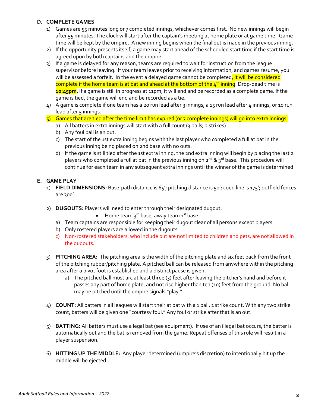#### **D. COMPLETE GAMES**

- 1) Games are 55 minutes long or 7 completed innings, whichever comes first. No new innings will begin after 55 minutes. The clock will start after the captain's meeting at home plate or at game time. Game time will be kept by the umpire. A new inning begins when the final out is made in the previous inning.
- 2) If the opportunity presents itself, a game may start ahead of the scheduled start time if the start time is agreed upon by both captains and the umpire.
- 3) If a game is delayed for any reason, teams are required to wait for instruction from the league supervisor before leaving. If your team leaves prior to receiving information, and games resume, you will be assessed a forfeit. In the event a delayed game cannot be completed, it will be considered complete if the home team is at bat and ahead at the bottom of the  $4<sup>th</sup>$  inning. Drop-dead time is **10:45pm**. If a game is still in progress at 11pm, it will end and be recorded as a complete game. If the game is tied, the game will end and be recorded as a tie.
- 4) A game is complete if one team has a 20 run lead after 3 innings, a 15 run lead after 4 innings, or 10 run lead after  $\varsigma$  innings.
- 5) Games that are tied after the time limit has expired (or 7 complete innings) will go into extra innings.
	- a) All batters in extra innings will start with a full count (3 balls; 2 strikes).
	- b) Any foul ball is an out.
	- c) The start of the 1st extra inning begins with the last player who completed a full at bat in the previous inning being placed on 2nd base with no outs.
	- d) If the game is still tied after the 1st extra inning, the 2nd extra inning will begin by placing the last 2 players who completed a full at bat in the previous inning on 2<sup>nd</sup> & 3<sup>rd</sup> base. This procedure will continue for each team in any subsequent extra innings until the winner of the game is determined.

#### **E. GAME PLAY**

- 1) **FIELD DIMENSIONS:** Base-path distance is 65'; pitching distance is 50'; coed line is 175'; outfield fences are 300'.
- 2) **DUGOUTS:** Players will need to enter through their designated dugout.
	- Home team  $3^{rd}$  base, away team  $1^{st}$  base.
	- a) Team captains are responsible for keeping their dugout clear of all persons except players.
	- b) Only rostered players are allowed in the dugouts.
	- c) Non-rostered stakeholders, who include but are not limited to children and pets, are not allowed in the dugouts.
- 3) **PITCHING AREA:** The pitching area is the width of the pitching plate and six feet back from the front of the pitching rubber/pitching plate. A pitched ball can be released from anywhere within the pitching area after a pivot foot is established and a distinct pause is given.
	- a) The pitched ball must arc at least three (3) feet after leaving the pitcher's hand and before it passes any part of home plate, and not rise higher than ten (10) feet from the ground. No ball may be pitched until the umpire signals "play."
- 4) **COUNT:** All batters in all leagues will start their at bat with a 1 ball, 1 strike count. With any two strike count, batters will be given one "courtesy foul." Any foul or strike after that is an out.
- 5) **BATTING:** All batters must use a legal bat (see equipment). If use of an illegal bat occurs, the batter is automatically out and the bat is removed from the game. Repeat offenses of this rule will result in a player suspension.
- 6) **HITTING UP THE MIDDLE:** Any player determined (umpire's discretion) to intentionally hit up the middle will be ejected.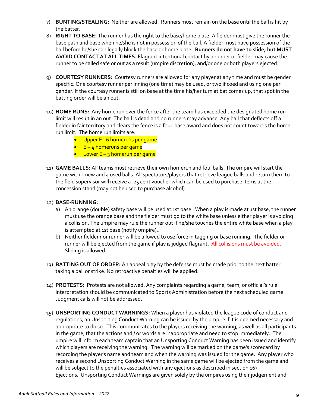- 7) **BUNTING/STEALING:** Neither are allowed. Runners must remain on the base until the ball is hit by the batter.
- 8) **RIGHT TO BASE:** The runner has the right to the base/home plate. A fielder must give the runner the base path and base when he/she is not in possession of the ball. A fielder must have possession of the ball before he/she can legally block the base or home plate. **Runners do not have to slide, but MUST AVOID CONTACT AT ALL TIMES.** Flagrant intentional contact by a runner or fielder may cause the runner to be called safe or out as a result (umpire discretion), and/or one or both players ejected.
- 9) **COURTESY RUNNERS:** Courtesy runners are allowed for any player at any time and must be gender specific. One courtesy runner per inning (one time) may be used, or two if coed and using one per gender. If the courtesy runner is still on base at the time his/her turn at bat comes up, that spot in the batting order will be an out.
- 10) **HOME RUNS:** Any home run over the fence after the team has exceeded the designated home run limit will result in an out. The ball is dead and no runners may advance. Any ball that deflects off a fielder in fair territory and clears the fence is a four-base award and does not count towards the home run limit. The home run limits are:
	- Upper E–6 homeruns per game
	- E 4 homeruns per game
	- Lower  $E 3$  homerun per game
- 11) **GAME BALLS:** All teams must retrieve their own homerun and foul balls. The umpire will start the game with 1 new and 4 used balls. All spectators/players that retrieve league balls and return them to the field supervisor will receive a .25 cent voucher which can be used to purchase items at the concession stand (may not be used to purchase alcohol).

#### 12) **BASE-RUNNING:**

- a) An orange (double) safety base will be used at 1st base. When a play is made at 1st base, the runner must use the orange base and the fielder must go to the white base unless either player is avoiding a collision. The umpire may rule the runner out if he/she touches the entire white base when a play is attempted at 1st base (notify umpire)..
- b) Neither fielder nor runner will be allowed to use force in tagging or base running. The fielder or runner will be ejected from the game if play is judged flagrant. All collisions must be avoided. Sliding is allowed.
- 13) **BATTING OUT OF ORDER:** An appeal play by the defense must be made prior to the next batter taking a ball or strike. No retroactive penalties will be applied.
- 14) **PROTESTS:** Protests are not allowed. Any complaints regarding a game, team, or official's rule interpretation should be communicated to Sports Administration before the next scheduled game. Judgment calls will not be addressed.
- 15) **UNSPORTING CONDUCT WARNINGS:** When a player has violated the league code of conduct and regulations, an Unsporting Conduct Warning can be issued by the umpire if it is deemed necessary and appropriate to do so. This communicates to the players receiving the warning, as well as all participants in the game, that the actions and / or words are inappropriate and need to stop immediately. The umpire will inform each team captain that an Unsporting Conduct Warning has been issued and identify which players are receiving the warning. The warning will be marked on the game's scorecard by recording the player's name and team and when the warning was issued for the game. Any player who receives a second Unsporting Conduct Warning in the same game will be ejected from the game and will be subject to the penalties associated with any ejections as described in section 16) Ejections. Unsporting Conduct Warnings are given solely by the umpires using their judgement and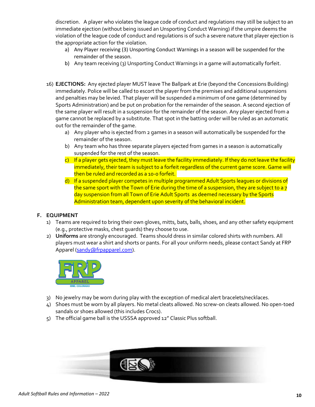discretion. A player who violates the league code of conduct and regulations may still be subject to an immediate ejection (without being issued an Unsporting Conduct Warning) if the umpire deems the violation of the league code of conduct and regulations is of such a severe nature that player ejection is the appropriate action for the violation.

- a) Any Player receiving (3) Unsporting Conduct Warnings in a season will be suspended for the remainder of the season.
- b) Any team receiving (3) Unsporting Conduct Warnings in a game will automatically forfeit.
- 16) **EJECTIONS:** Any ejected player MUST leave The Ballpark at Erie (beyond the Concessions Building) immediately. Police will be called to escort the player from the premises and additional suspensions and penalties may be levied. That player will be suspended a minimum of one game (determined by Sports Administration) and be put on probation for the remainder of the season. A second ejection of the same player will result in a suspension for the remainder of the season. Any player ejected from a game cannot be replaced by a substitute. That spot in the batting order will be ruled as an automatic out for the remainder of the game.
	- a) Any player who is ejected from 2 games in a season will automatically be suspended for the remainder of the season.
	- b) Any team who has three separate players ejected from games in a season is automatically suspended for the rest of the season.
	- $\epsilon$ ) If a player gets ejected, they must leave the facility immediately. If they do not leave the facility immediately, their team is subject to a forfeit regardless of the current game score. Game will then be ruled and recorded as a 10-0 forfeit.
	- d) If a suspended player competes in multiple programmed Adult Sports leagues or divisions of the same sport with the Town of Erie during the time of a suspension, they are subject to a 7 day suspension from all Town of Erie Adult Sports as deemed necessary by the Sports Administration team, dependent upon severity of the behavioral incident.

## **F. EQUIPMENT**

- 1) Teams are required to bring their own gloves, mitts, bats, balls, shoes, and any other safety equipment (e.g., protective masks, chest guards) they choose to use.
- 2) **Uniforms** are strongly encouraged. Teams should dress in similar colored shirts with numbers. All players must wear a shirt and shorts or pants. For all your uniform needs, please contact Sandy at FRP Apparel [\(sandy@frpapparel.com\)](mailto:sandy@frpapparel.com).



- 3) No jewelry may be worn during play with the exception of medical alert bracelets/necklaces.
- 4) Shoes must be worn by all players. No metal cleats allowed. No screw-on cleats allowed. No open-toed sandals or shoes allowed (this includes Crocs).
- 5) The official game ball is the USSSA approved 12" Classic Plus softball.